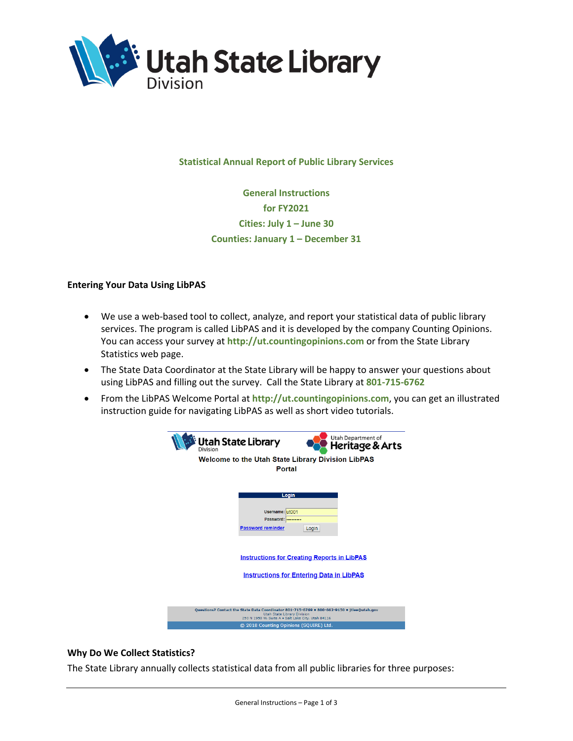

## **Statistical Annual Report of Public Library Services**

**General Instructions for FY2021 Cities: July 1 – June 30 Counties: January 1 – December 31**

## **Entering Your Data Using LibPAS**

- We use a web-based tool to collect, analyze, and report your statistical data of public library services. The program is called LibPAS and it is developed by the company Counting Opinions. You can access your survey at **http://ut.countingopinions.com** or from the State Library Statistics web page.
- The State Data Coordinator at the State Library will be happy to answer your questions about using LibPAS and filling out the survey. Call the State Library at **801-715-6762**
- From the LibPAS Welcome Portal at **http://ut.countingopinions.com**, you can get an illustrated instruction guide for navigating LibPAS as well as short video tutorials.



## **Why Do We Collect Statistics?**

The State Library annually collects statistical data from all public libraries for three purposes: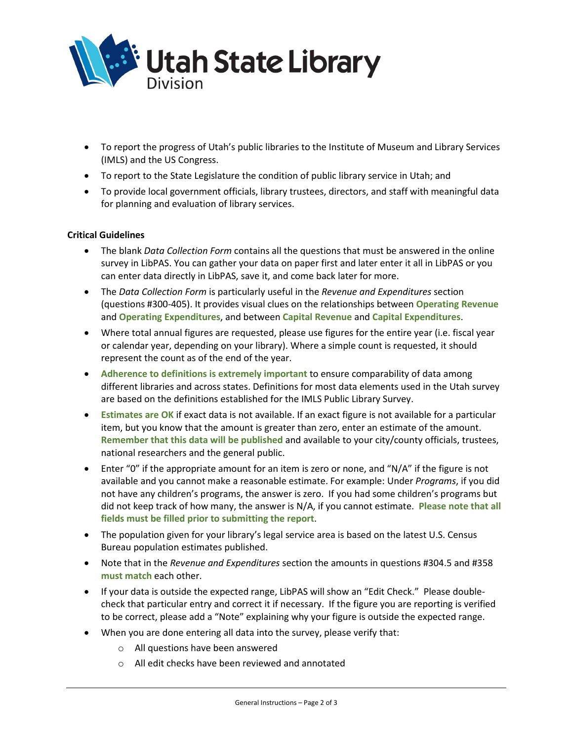

- To report the progress of Utah's public libraries to the Institute of Museum and Library Services (IMLS) and the US Congress.
- To report to the State Legislature the condition of public library service in Utah; and
- To provide local government officials, library trustees, directors, and staff with meaningful data for planning and evaluation of library services.

## **Critical Guidelines**

- The blank *Data Collection Form* contains all the questions that must be answered in the online survey in LibPAS. You can gather your data on paper first and later enter it all in LibPAS or you can enter data directly in LibPAS, save it, and come back later for more.
- The *Data Collection Form* is particularly useful in the *Revenue and Expenditures* section (questions #300-405). It provides visual clues on the relationships between **Operating Revenue** and **Operating Expenditures**, and between **Capital Revenue** and **Capital Expenditures**.
- Where total annual figures are requested, please use figures for the entire year (i.e. fiscal year or calendar year, depending on your library). Where a simple count is requested, it should represent the count as of the end of the year.
- **Adherence to definitions is extremely important** to ensure comparability of data among different libraries and across states. Definitions for most data elements used in the Utah survey are based on the definitions established for the IMLS Public Library Survey.
- **Estimates are OK** if exact data is not available. If an exact figure is not available for a particular item, but you know that the amount is greater than zero, enter an estimate of the amount. **Remember that this data will be published** and available to your city/county officials, trustees, national researchers and the general public.
- Enter "0" if the appropriate amount for an item is zero or none, and "N/A" if the figure is not available and you cannot make a reasonable estimate. For example: Under *Programs*, if you did not have any children's programs, the answer is zero. If you had some children's programs but did not keep track of how many, the answer is N/A, if you cannot estimate. **Please note that all fields must be filled prior to submitting the report**.
- The population given for your library's legal service area is based on the latest U.S. Census Bureau population estimates published.
- Note that in the *Revenue and Expenditures* section the amounts in questions #304.5 and #358 **must match** each other.
- If your data is outside the expected range, LibPAS will show an "Edit Check." Please doublecheck that particular entry and correct it if necessary. If the figure you are reporting is verified to be correct, please add a "Note" explaining why your figure is outside the expected range.
- When you are done entering all data into the survey, please verify that:
	- o All questions have been answered
	- o All edit checks have been reviewed and annotated